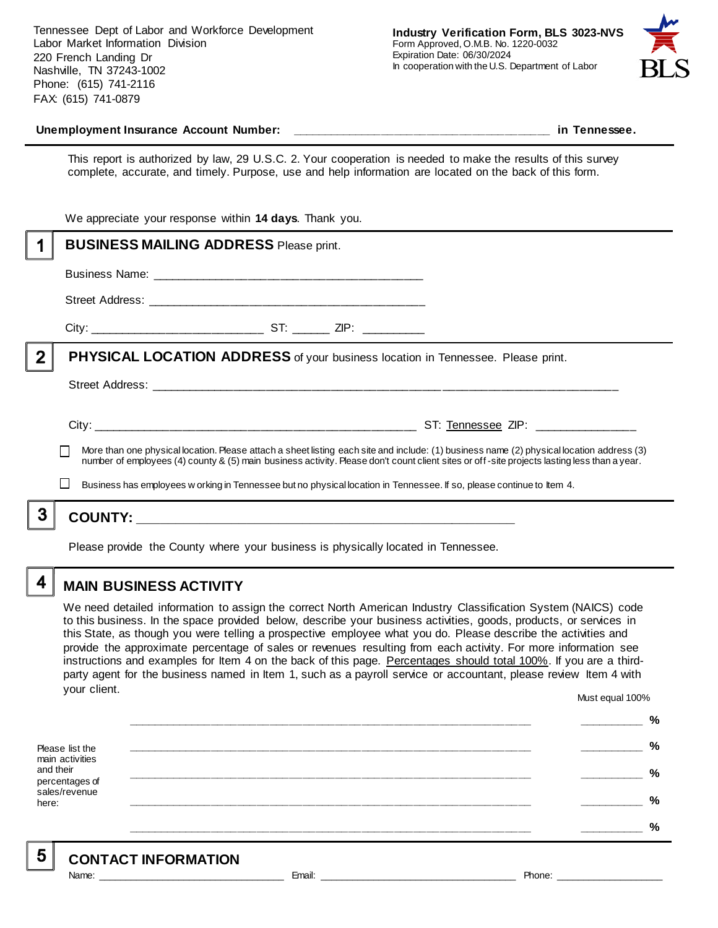Tennessee Dept of Labor and Workforce Development Labor Market Information Division 220 French Landing Dr Nashville, TN 37243-1002 Phone: (615) 741-2116 FAX: (615) 741-0879



#### **Unemployment Insurance Account Number: \_\_\_\_\_\_\_\_\_\_\_\_\_\_\_\_\_\_\_\_\_\_\_\_\_\_\_\_\_\_\_\_\_\_\_\_\_\_\_\_ in Tennessee.**

This report is authorized by law, 29 U.S.C. 2. Your cooperation is needed to make the results of this survey complete, accurate, and timely. Purpose, use and help information are located on the back of this form.

|              | We appreciate your response within 14 days. Thank you.                                                                                                                                                                                                                                   |
|--------------|------------------------------------------------------------------------------------------------------------------------------------------------------------------------------------------------------------------------------------------------------------------------------------------|
|              | <b>BUSINESS MAILING ADDRESS Please print.</b>                                                                                                                                                                                                                                            |
|              |                                                                                                                                                                                                                                                                                          |
|              |                                                                                                                                                                                                                                                                                          |
|              |                                                                                                                                                                                                                                                                                          |
| $\mathbf{2}$ | <b>PHYSICAL LOCATION ADDRESS</b> of your business location in Tennessee. Please print.                                                                                                                                                                                                   |
|              |                                                                                                                                                                                                                                                                                          |
|              |                                                                                                                                                                                                                                                                                          |
|              | More than one physical location. Please attach a sheet listing each site and include: (1) business name (2) physical location address (3)<br>number of employees (4) county & (5) main business activity. Please don't count client sites or off-site projects lasting less than a year. |
|              | Business has employees w orking in Tennessee but no physical location in Tennessee. If so, please continue to Item 4.                                                                                                                                                                    |
|              |                                                                                                                                                                                                                                                                                          |
|              |                                                                                                                                                                                                                                                                                          |

Please provide the County where your business is physically located in Tennessee.

4

### **MAIN BUSINESS ACTIVITY**

We need detailed information to assign the correct North American Industry Classification System (NAICS) code to this business. In the space provided below, describe your business activities, goods, products, or services in this State, as though you were telling a prospective employee what you do. Please describe the activities and provide the approximate percentage of sales or revenues resulting from each activity. For more information see instructions and examples for Item 4 on the back of this page. Percentages should total 100%. If you are a thirdparty agent for the business named in Item 1, such as a payroll service or accountant, please review Item 4 with your client. Must equal 100%

Please list the main activities and their percentages of sales/revenue here: **\_\_\_\_\_\_\_\_\_\_\_\_\_\_\_\_\_\_\_\_\_\_\_\_\_\_\_\_\_\_\_\_\_\_\_\_\_\_\_\_\_\_\_\_\_\_\_\_\_\_\_\_\_\_\_\_\_\_\_\_\_\_ \_\_\_\_\_\_\_\_\_\_ % \_\_\_\_\_\_\_\_\_\_\_\_\_\_\_\_\_\_\_\_\_\_\_\_\_\_\_\_\_\_\_\_\_\_\_\_\_\_\_\_\_\_\_\_\_\_\_\_\_\_\_\_\_\_\_\_\_\_\_\_\_\_ \_\_\_\_\_\_\_\_\_\_ % \_\_\_\_\_\_\_\_\_\_\_\_\_\_\_\_\_\_\_\_\_\_\_\_\_\_\_\_\_\_\_\_\_\_\_\_\_\_\_\_\_\_\_\_\_\_\_\_\_\_\_\_\_\_\_\_\_\_\_\_\_\_ \_\_\_\_\_\_\_\_\_\_ % \_\_\_\_\_\_\_\_\_\_\_\_\_\_\_\_\_\_\_\_\_\_\_\_\_\_\_\_\_\_\_\_\_\_\_\_\_\_\_\_\_\_\_\_\_\_\_\_\_\_\_\_\_\_\_\_\_\_\_\_\_\_ \_\_\_\_\_\_\_\_\_\_ % \_\_\_\_\_\_\_\_\_\_\_\_\_\_\_\_\_\_\_\_\_\_\_\_\_\_\_\_\_\_\_\_\_\_\_\_\_\_\_\_\_\_\_\_\_\_\_\_\_\_\_\_\_\_\_\_\_\_\_\_\_\_ \_\_\_\_\_\_\_\_\_\_ %**

5